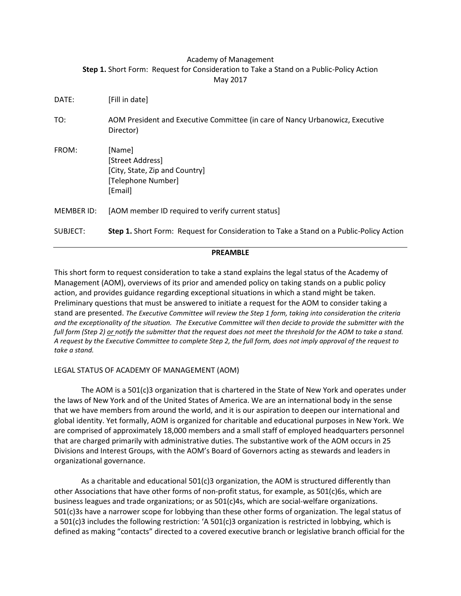## Academy of Management **Step 1.** Short Form: Request for Consideration to Take a Stand on a Public-Policy Action May 2017

| DATE:      | [Fill in date]                                                                                |
|------------|-----------------------------------------------------------------------------------------------|
| TO:        | AOM President and Executive Committee (in care of Nancy Urbanowicz, Executive<br>Director)    |
| FROM:      | [Name]<br>[Street Address]<br>[City, State, Zip and Country]<br>[Telephone Number]<br>[Email] |
| MEMBER ID: | [AOM member ID required to verify current status]                                             |
| SUBJECT:   | Step 1. Short Form: Request for Consideration to Take a Stand on a Public-Policy Action       |

#### **PREAMBLE**

This short form to request consideration to take a stand explains the legal status of the Academy of Management (AOM), overviews of its prior and amended policy on taking stands on a public policy action, and provides guidance regarding exceptional situations in which a stand might be taken. Preliminary questions that must be answered to initiate a request for the AOM to consider taking a stand are presented. *The Executive Committee will review the Step 1 form, taking into consideration the criteria and the exceptionality of the situation. The Executive Committee will then decide to provide the submitter with the full form (Step 2) or notify the submitter that the request does not meet the threshold for the AOM to take a stand. A request by the Executive Committee to complete Step 2, the full form, does not imply approval of the request to take a stand.* 

## LEGAL STATUS OF ACADEMY OF MANAGEMENT (AOM)

The AOM is a 501(c)3 organization that is chartered in the State of New York and operates under the laws of New York and of the United States of America. We are an international body in the sense that we have members from around the world, and it is our aspiration to deepen our international and global identity. Yet formally, AOM is organized for charitable and educational purposes in New York. We are comprised of approximately 18,000 members and a small staff of employed headquarters personnel that are charged primarily with administrative duties. The substantive work of the AOM occurs in 25 Divisions and Interest Groups, with the AOM's Board of Governors acting as stewards and leaders in organizational governance.

As a charitable and educational 501(c)3 organization, the AOM is structured differently than other Associations that have other forms of non-profit status, for example, as 501(c)6s, which are business leagues and trade organizations; or as 501(c)4s, which are social-welfare organizations. 501(c)3s have a narrower scope for lobbying than these other forms of organization. The legal status of a 501(c)3 includes the following restriction: 'A 501(c)3 organization is restricted in lobbying, which is defined as making "contacts" directed to a covered executive branch or legislative branch official for the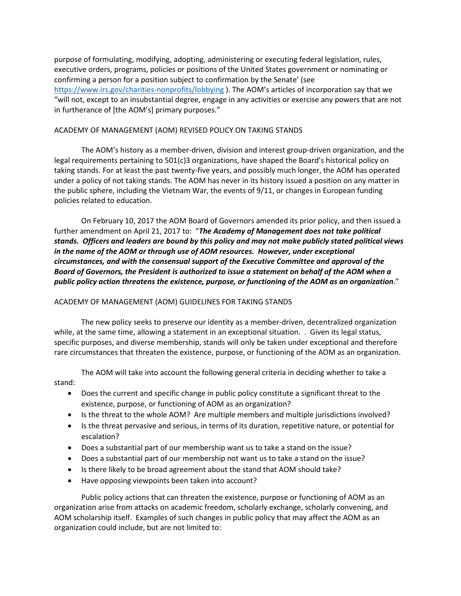purpose of formulating, modifying, adopting, administering or executing federal legislation, rules, executive orders, programs, policies or positions of the United States government or nominating or confirming a person for a position subject to confirmation by the Senate' (see <https://www.irs.gov/charities-nonprofits/lobbying> ). The AOM's articles of incorporation say that we "will not, except to an insubstantial degree, engage in any activities or exercise any powers that are not in furtherance of [the AOM's] primary purposes."

### ACADEMY OF MANAGEMENT (AOM) REVISED POLICY ON TAKING STANDS

The AOM's history as a member-driven, division and interest group-driven organization, and the legal requirements pertaining to 501(c)3 organizations, have shaped the Board's historical policy on taking stands. For at least the past twenty-five years, and possibly much longer, the AOM has operated under a policy of not taking stands. The AOM has never in its history issued a position on any matter in the public sphere, including the Vietnam War, the events of 9/11, or changes in European funding policies related to education.

On February 10, 2017 the AOM Board of Governors amended its prior policy, and then issued a further amendment on April 21, 2017 to: "*The Academy of Management does not take political stands. Officers and leaders are bound by this policy and may not make publicly stated political views*  in the name of the AOM or through use of AOM resources. However, under exceptional *circumstances, and with the consensual support of the Executive Committee and approval of the Board of Governors, the President is authorized to issue a statement on behalf of the AOM when a public policy action threatens the existence, purpose, or functioning of the AOM as an organization*."

## ACADEMY OF MANAGEMENT (AOM) GUIDELINES FOR TAKING STANDS

The new policy seeks to preserve our identity as a member-driven, decentralized organization while, at the same time, allowing a statement in an exceptional situation. . Given its legal status, specific purposes, and diverse membership, stands will only be taken under exceptional and therefore rare circumstances that threaten the existence, purpose, or functioning of the AOM as an organization.

The AOM will take into account the following general criteria in deciding whether to take a stand:

- Does the current and specific change in public policy constitute a significant threat to the existence, purpose, or functioning of AOM as an organization?
- Is the threat to the whole AOM? Are multiple members and multiple jurisdictions involved?
- Is the threat pervasive and serious, in terms of its duration, repetitive nature, or potential for escalation?
- Does a substantial part of our membership want us to take a stand on the issue?
- Does a substantial part of our membership not want us to take a stand on the issue?
- Is there likely to be broad agreement about the stand that AOM should take?
- Have opposing viewpoints been taken into account?

Public policy actions that can threaten the existence, purpose or functioning of AOM as an organization arise from attacks on academic freedom, scholarly exchange, scholarly convening, and AOM scholarship itself. Examples of such changes in public policy that may affect the AOM as an organization could include, but are not limited to: